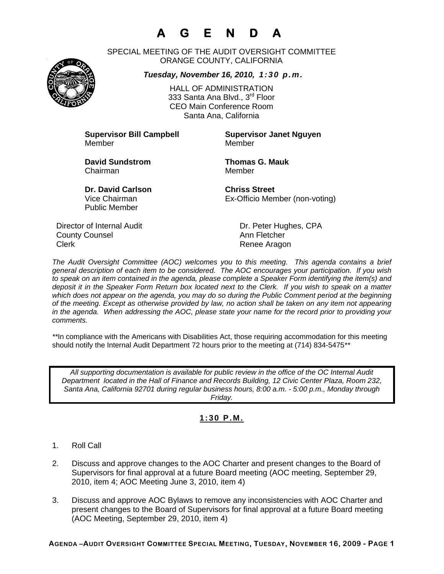# **A G E N D A**



SPECIAL MEETING OF THE AUDIT OVERSIGHT COMMITTEE ORANGE COUNTY, CALIFORNIA

### *Tuesday, November 16, 2010, 1:30 p.m.*

HALL OF ADMINISTRATION 333 Santa Ana Blyd., 3<sup>rd</sup> Floor CEO Main Conference Room Santa Ana, California

Member Member

**Supervisor Bill Campbell Supervisor Janet Nguyen**

**David Sundstrom Thomas G. Mauk**  Chairman Member

Public Member

**Dr. David Carlson Chriss Street** Vice Chairman Ex-Officio Member (non-voting)

Director of Internal Audit Dr. Peter Hughes, CPA **County Counsel Countillist County Counsel Ann Fletcher** Clerk **Clerk Renee Aragon** 

*The Audit Oversight Committee (AOC) welcomes you to this meeting. This agenda contains a brief general description of each item to be considered. The AOC encourages your participation. If you wish to speak on an item contained in the agenda, please complete a Speaker Form identifying the item(s) and deposit it in the Speaker Form Return box located next to the Clerk. If you wish to speak on a matter which does not appear on the agenda, you may do so during the Public Comment period at the beginning of the meeting. Except as otherwise provided by law, no action shall be taken on any item not appearing in the agenda. When addressing the AOC, please state your name for the record prior to providing your comments.* 

*\*\**In compliance with the Americans with Disabilities Act, those requiring accommodation for this meeting should notify the Internal Audit Department 72 hours prior to the meeting at (714) 834-5475*\*\** 

*All supporting documentation is available for public review in the office of the OC Internal Audit Department located in the Hall of Finance and Records Building, 12 Civic Center Plaza, Room 232, Santa Ana, California 92701 during regular business hours, 8:00 a.m. - 5:00 p.m., Monday through Friday.* 

### **1:30 P.M.**

- 1. Roll Call
- 2. Discuss and approve changes to the AOC Charter and present changes to the Board of Supervisors for final approval at a future Board meeting (AOC meeting, September 29, 2010, item 4; AOC Meeting June 3, 2010, item 4)
- 3. Discuss and approve AOC Bylaws to remove any inconsistencies with AOC Charter and present changes to the Board of Supervisors for final approval at a future Board meeting (AOC Meeting, September 29, 2010, item 4)